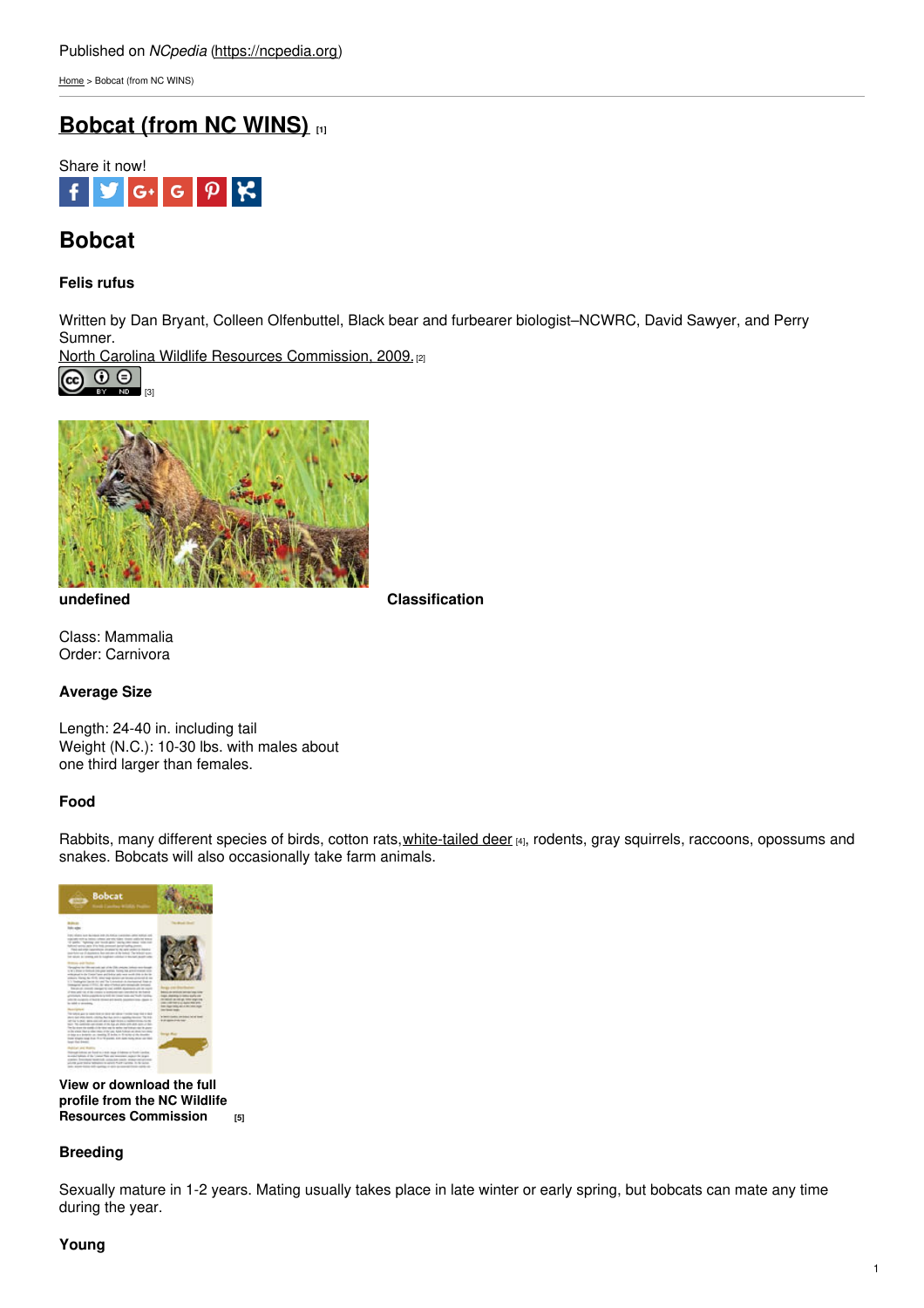[Home](https://ncpedia.org/) > Bobcat (from NC WINS)

# **[Bobcat](https://ncpedia.org/bobcat-nc-wins) (from NC WINS)** [1]



# **Bobcat**

## **Felis rufus**

Written by Dan Bryant, Colleen Olfenbuttel, Black bear and furbearer biologist–NCWRC, David Sawyer, and Perry Sumner.

North Carolina Wildlife Resources [Commission,](https://www.ncwildlife.org/) 2009.<sup>[2]</sup>





**undefined Classification**

Class: Mammalia Order: Carnivora

# **Average Size**

Length: 24-40 in. including tail Weight (N.C.): 10-30 lbs. with males about one third larger than females.

# **Food**

Rabbits, many different species of birds, cotton rats, [white-tailed](https://ncpedia.org/white-tailed-deer-nc-wins) deer [4], rodents, gray squirrels, raccoons, opossums and snakes. Bobcats will also occasionally take farm animals.



**View or download the full profile from the NC Wildlife Resources [Commission](https://www.ncwildlife.org/Portals/0/Learning/documents/Profiles/Bobcat.pdf) [5]**

## **Breeding**

Sexually mature in 1-2 years. Mating usually takes place in late winter or early spring, but bobcats can mate any time during the year.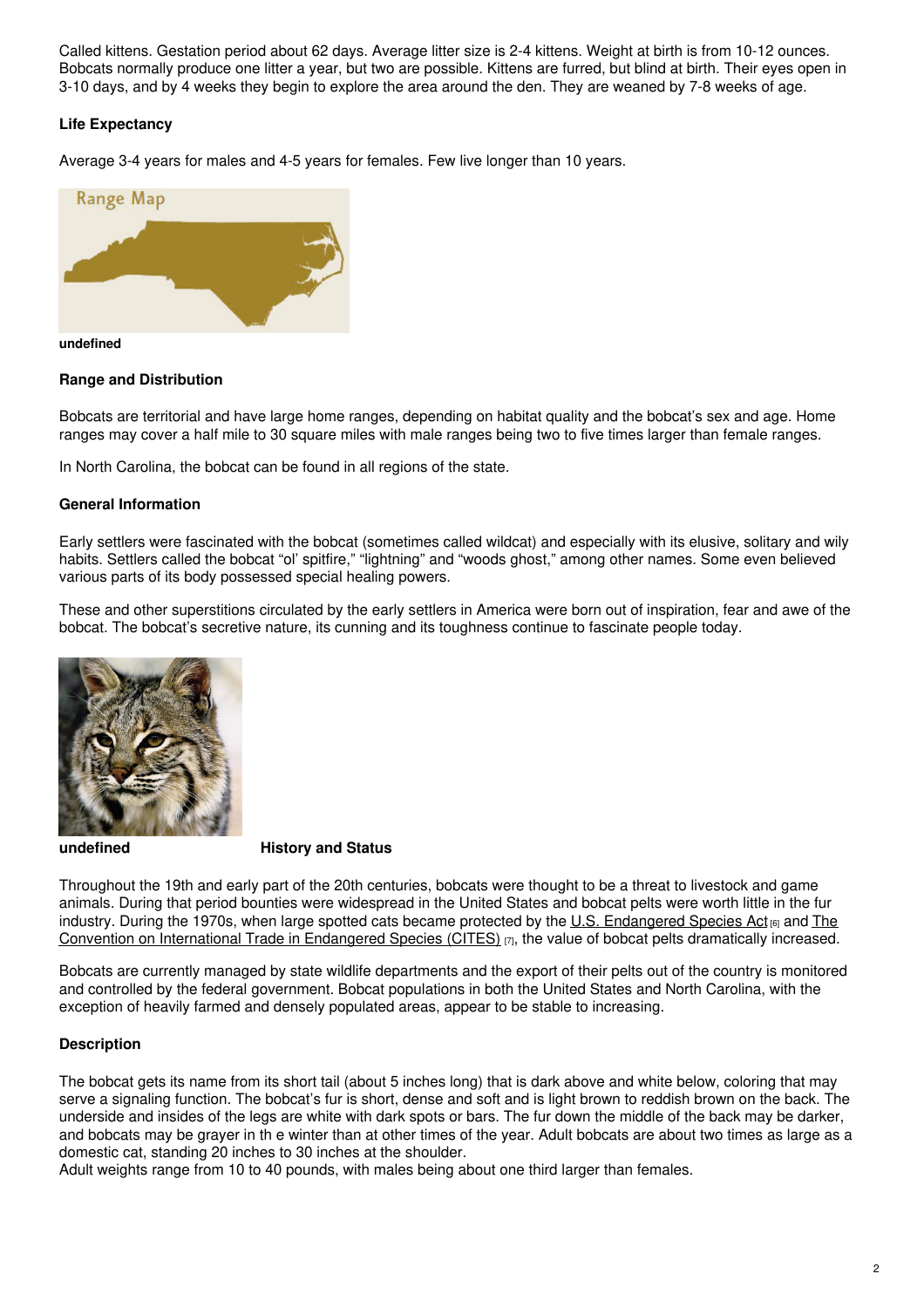Called kittens. Gestation period about 62 days. Average litter size is 2-4 kittens. Weight at birth is from 10-12 ounces. Bobcats normally produce one litter a year, but two are possible. Kittens are furred, but blind at birth. Their eyes open in 3-10 days, and by 4 weeks they begin to explore the area around the den. They are weaned by 7-8 weeks of age.

## **Life Expectancy**

Average 3-4 years for males and 4-5 years for females. Few live longer than 10 years.



#### **undefined**

## **Range and Distribution**

Bobcats are territorial and have large home ranges, depending on habitat quality and the bobcat's sex and age. Home ranges may cover a half mile to 30 square miles with male ranges being two to five times larger than female ranges.

In North Carolina, the bobcat can be found in all regions of the state.

## **General Information**

Early settlers were fascinated with the bobcat (sometimes called wildcat) and especially with its elusive, solitary and wily habits. Settlers called the bobcat "ol' spitfire," "lightning" and "woods ghost," among other names. Some even believed various parts of its body possessed special healing powers.

These and other superstitions circulated by the early settlers in America were born out of inspiration, fear and awe of the bobcat. The bobcat's secretive nature, its cunning and its toughness continue to fascinate people today.



## **undefined History and Status**

Throughout the 19th and early part of the 20th centuries, bobcats were thought to be a threat to livestock and game animals. During that period bounties were widespread in the United States and bobcat pelts were worth little in the fur industry. During the 1970s, when large spotted cats became protected by the U.S. [Endangered](https://cites.org/eng) Species Act  $_{[6]}$  and The Convention on International Trade in Endangered Species (CITES)  $_{[7]}$ , the value of bobcat pelts dramatically increased.

Bobcats are currently managed by state wildlife departments and the export of their pelts out of the country is monitored and controlled by the federal government. Bobcat populations in both the United States and North Carolina, with the exception of heavily farmed and densely populated areas, appear to be stable to increasing.

### **Description**

The bobcat gets its name from its short tail (about 5 inches long) that is dark above and white below, coloring that may serve a signaling function. The bobcat's fur is short, dense and soft and is light brown to reddish brown on the back. The underside and insides of the legs are white with dark spots or bars. The fur down the middle of the back may be darker, and bobcats may be grayer in th e winter than at other times of the year. Adult bobcats are about two times as large as a domestic cat, standing 20 inches to 30 inches at the shoulder.

Adult weights range from 10 to 40 pounds, with males being about one third larger than females.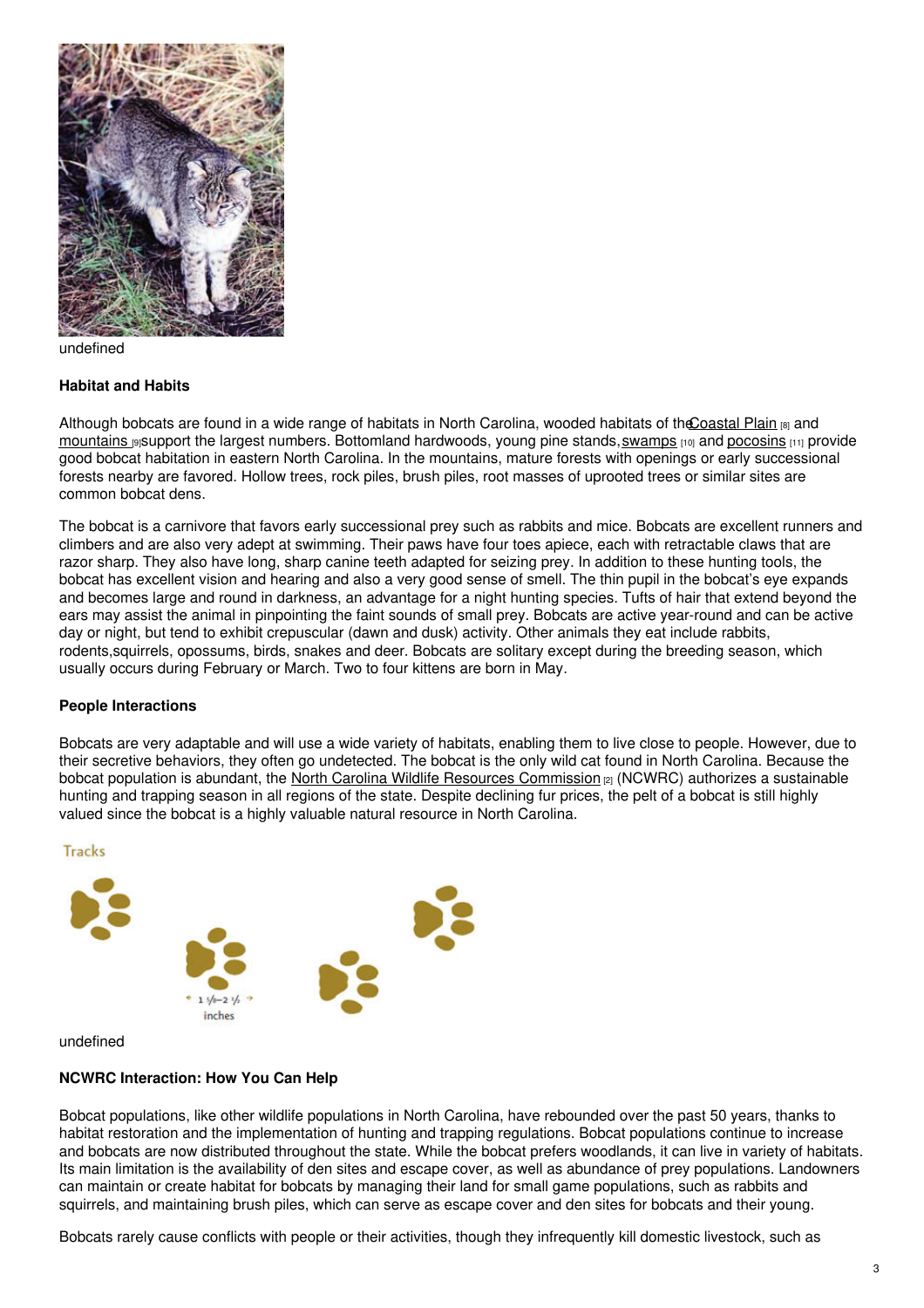

undefined

### **Habitat and Habits**

Although bobcats are found in a wide range of habitats in North Carolina, wooded habitats of the Coastal Plain [8] and [mountains](https://ncpedia.org/our-state-geography-snap-mountain)  $\frac{9}{15}$ support the largest numbers. Bottomland hardwoods, young pine stands, [swamps](https://ncpedia.org/swamps)  $\frac{100}{100}$  and [pocosins](https://ncpedia.org/pocosins)  $\frac{111}{100}$  provide good bobcat habitation in eastern North Carolina. In the mountains, mature forests with openings or early successional forests nearby are favored. Hollow trees, rock piles, brush piles, root masses of uprooted trees or similar sites are common bobcat dens.

The bobcat is a carnivore that favors early successional prey such as rabbits and mice. Bobcats are excellent runners and climbers and are also very adept at swimming. Their paws have four toes apiece, each with retractable claws that are razor sharp. They also have long, sharp canine teeth adapted for seizing prey. In addition to these hunting tools, the bobcat has excellent vision and hearing and also a very good sense of smell. The thin pupil in the bobcat's eye expands and becomes large and round in darkness, an advantage for a night hunting species. Tufts of hair that extend beyond the ears may assist the animal in pinpointing the faint sounds of small prey. Bobcats are active year-round and can be active day or night, but tend to exhibit crepuscular (dawn and dusk) activity. Other animals they eat include rabbits, rodents,squirrels, opossums, birds, snakes and deer. Bobcats are solitary except during the breeding season, which usually occurs during February or March. Two to four kittens are born in May.

### **People Interactions**

Bobcats are very adaptable and will use a wide variety of habitats, enabling them to live close to people. However, due to their secretive behaviors, they often go undetected. The bobcat is the only wild cat found in North Carolina. Because the bobcat population is abundant, the North Carolina Wildlife Resources [Commission](https://www.ncwildlife.org/) [2] (NCWRC) authorizes a sustainable hunting and trapping season in all regions of the state. Despite declining fur prices, the pelt of a bobcat is still highly valued since the bobcat is a highly valuable natural resource in North Carolina.



undefined

## **NCWRC Interaction: How You Can Help**

Bobcat populations, like other wildlife populations in North Carolina, have rebounded over the past 50 years, thanks to habitat restoration and the implementation of hunting and trapping regulations. Bobcat populations continue to increase and bobcats are now distributed throughout the state. While the bobcat prefers woodlands, it can live in variety of habitats. Its main limitation is the availability of den sites and escape cover, as well as abundance of prey populations. Landowners can maintain or create habitat for bobcats by managing their land for small game populations, such as rabbits and squirrels, and maintaining brush piles, which can serve as escape cover and den sites for bobcats and their young.

Bobcats rarely cause conflicts with people or their activities, though they infrequently kill domestic livestock, such as